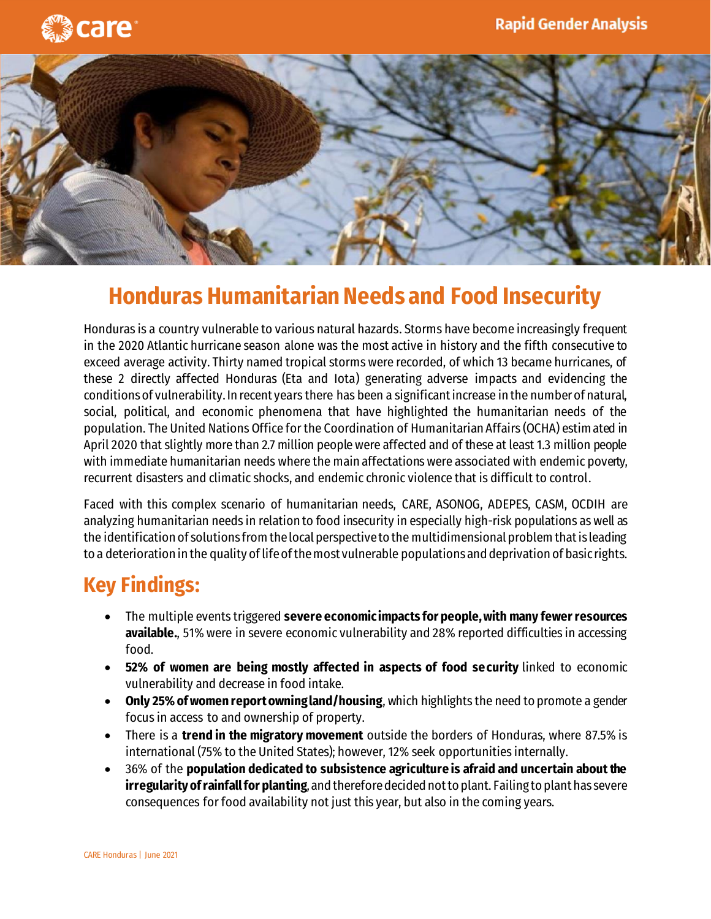



## **Honduras Humanitarian Needs and Food Insecurity**

Honduras is a country vulnerable to various natural hazards. Storms have become increasingly frequent in the 2020 Atlantic hurricane season alone was the most active in history and the fifth consecutive to exceed average activity. Thirty named tropical storms were recorded, of which 13 became hurricanes, of these 2 directly affected Honduras (Eta and Iota) generating adverse impacts and evidencing the conditions of vulnerability. In recent years there has been a significant increase in the number of natural, social, political, and economic phenomena that have highlighted the humanitarian needs of the population. The United Nations Office for the Coordination of Humanitarian Affairs (OCHA) estimated in April 2020 that slightly more than 2.7 million people were affected and of these at least 1.3 million people with immediate humanitarian needs where the main affectations were associated with endemic poverty, recurrent disasters and climatic shocks, and endemic chronic violence that is difficult to control.

Faced with this complex scenario of humanitarian needs, CARE, ASONOG, ADEPES, CASM, OCDIH are analyzing humanitarian needs in relation to food insecurity in especially high-risk populations as well as the identification of solutions from the local perspective to the multidimensional problem that is leading to a deterioration in the quality of life of the most vulnerable populations and deprivation of basic rights.

## **Key Findings:**

- The multiple events triggered **severe economic impacts for people, with many fewer resources available.**, 51% were in severe economic vulnerability and 28% reported difficulties in accessing food.
- **52% of women are being mostly affected in aspects of food security** linked to economic vulnerability and decrease in food intake.
- **Only 25% of women report owning land/housing**, which highlights the need to promote a gender focus in access to and ownership of property.
- There is a **trend in the migratory movement** outside the borders of Honduras, where 87.5% is international (75% to the United States); however, 12% seek opportunities internally.
- 36% of the **population dedicated to subsistence agriculture is afraid and uncertain about the irregularity of rainfall for planting**, and therefore decided not to plant. Failing to plant has severe consequences for food availability not just this year, but also in the coming years.